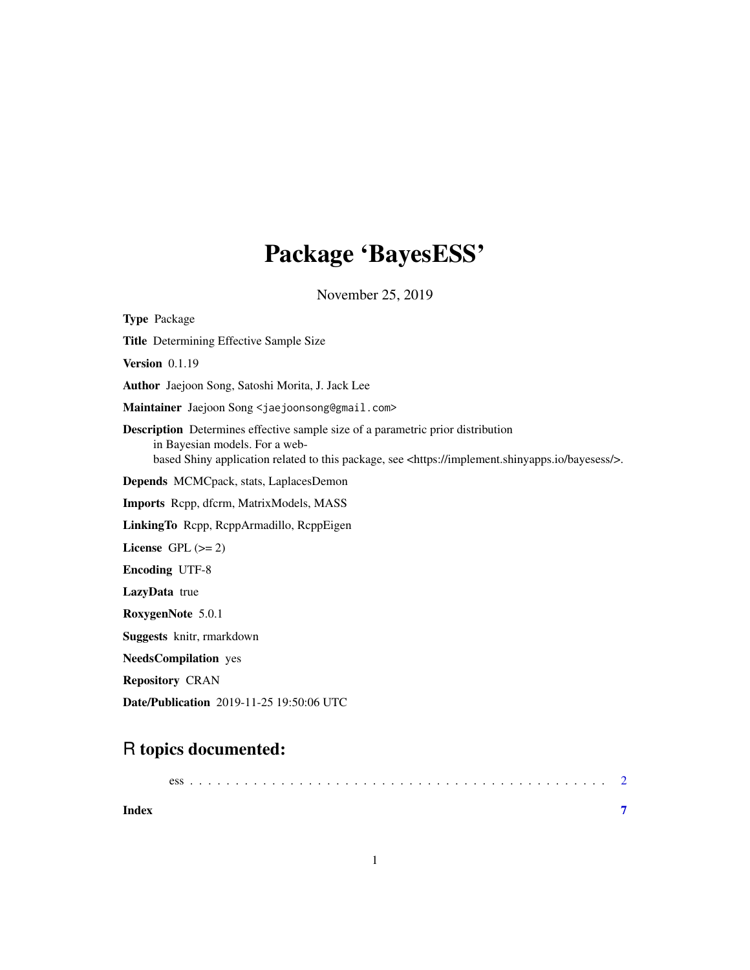# Package 'BayesESS'

November 25, 2019

Type Package Title Determining Effective Sample Size Version 0.1.19 Author Jaejoon Song, Satoshi Morita, J. Jack Lee Maintainer Jaejoon Song <jaejoonsong@gmail.com> Description Determines effective sample size of a parametric prior distribution in Bayesian models. For a webbased Shiny application related to this package, see <https://implement.shinyapps.io/bayesess/>. Depends MCMCpack, stats, LaplacesDemon Imports Rcpp, dfcrm, MatrixModels, MASS LinkingTo Rcpp, RcppArmadillo, RcppEigen License GPL  $(>= 2)$ Encoding UTF-8 LazyData true RoxygenNote 5.0.1 Suggests knitr, rmarkdown NeedsCompilation yes Repository CRAN Date/Publication 2019-11-25 19:50:06 UTC

## R topics documented:

| Index |  |  |  |  |  |  |  |  |  |  |  |  |  |  |  |  |  |  |  |
|-------|--|--|--|--|--|--|--|--|--|--|--|--|--|--|--|--|--|--|--|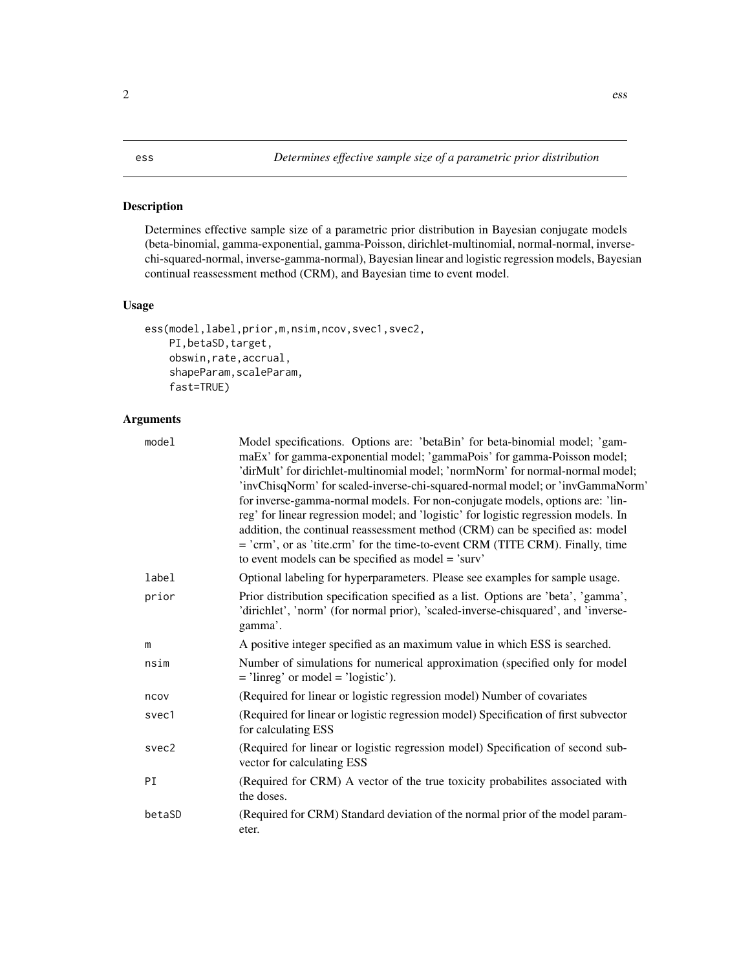#### <span id="page-1-0"></span>Description

Determines effective sample size of a parametric prior distribution in Bayesian conjugate models (beta-binomial, gamma-exponential, gamma-Poisson, dirichlet-multinomial, normal-normal, inversechi-squared-normal, inverse-gamma-normal), Bayesian linear and logistic regression models, Bayesian continual reassessment method (CRM), and Bayesian time to event model.

#### Usage

```
ess(model,label,prior,m,nsim,ncov,svec1,svec2,
    PI, betaSD, target,
    obswin,rate,accrual,
    shapeParam, scaleParam,
    fast=TRUE)
```
#### Arguments

| model  | Model specifications. Options are: 'betaBin' for beta-binomial model; 'gam-<br>maEx' for gamma-exponential model; 'gammaPois' for gamma-Poisson model;<br>'dirMult' for dirichlet-multinomial model; 'normNorm' for normal-normal model;<br>'invChisqNorm' for scaled-inverse-chi-squared-normal model; or 'invGammaNorm'<br>for inverse-gamma-normal models. For non-conjugate models, options are: 'lin-<br>reg' for linear regression model; and 'logistic' for logistic regression models. In<br>addition, the continual reassessment method (CRM) can be specified as: model<br>= 'crm', or as 'tite.crm' for the time-to-event CRM (TITE CRM). Finally, time<br>to event models can be specified as model = 'surv' |
|--------|--------------------------------------------------------------------------------------------------------------------------------------------------------------------------------------------------------------------------------------------------------------------------------------------------------------------------------------------------------------------------------------------------------------------------------------------------------------------------------------------------------------------------------------------------------------------------------------------------------------------------------------------------------------------------------------------------------------------------|
| label  | Optional labeling for hyperparameters. Please see examples for sample usage.                                                                                                                                                                                                                                                                                                                                                                                                                                                                                                                                                                                                                                             |
| prior  | Prior distribution specification specified as a list. Options are 'beta', 'gamma',<br>'dirichlet', 'norm' (for normal prior), 'scaled-inverse-chisquared', and 'inverse-<br>gamma'.                                                                                                                                                                                                                                                                                                                                                                                                                                                                                                                                      |
| m      | A positive integer specified as an maximum value in which ESS is searched.                                                                                                                                                                                                                                                                                                                                                                                                                                                                                                                                                                                                                                               |
| nsim   | Number of simulations for numerical approximation (specified only for model<br>$=$ 'linreg' or model $=$ 'logistic').                                                                                                                                                                                                                                                                                                                                                                                                                                                                                                                                                                                                    |
| ncov   | (Required for linear or logistic regression model) Number of covariates                                                                                                                                                                                                                                                                                                                                                                                                                                                                                                                                                                                                                                                  |
| svec1  | (Required for linear or logistic regression model) Specification of first subvector<br>for calculating ESS                                                                                                                                                                                                                                                                                                                                                                                                                                                                                                                                                                                                               |
| svec2  | (Required for linear or logistic regression model) Specification of second sub-<br>vector for calculating ESS                                                                                                                                                                                                                                                                                                                                                                                                                                                                                                                                                                                                            |
| PI     | (Required for CRM) A vector of the true toxicity probabilites associated with<br>the doses.                                                                                                                                                                                                                                                                                                                                                                                                                                                                                                                                                                                                                              |
| betaSD | (Required for CRM) Standard deviation of the normal prior of the model param-<br>eter.                                                                                                                                                                                                                                                                                                                                                                                                                                                                                                                                                                                                                                   |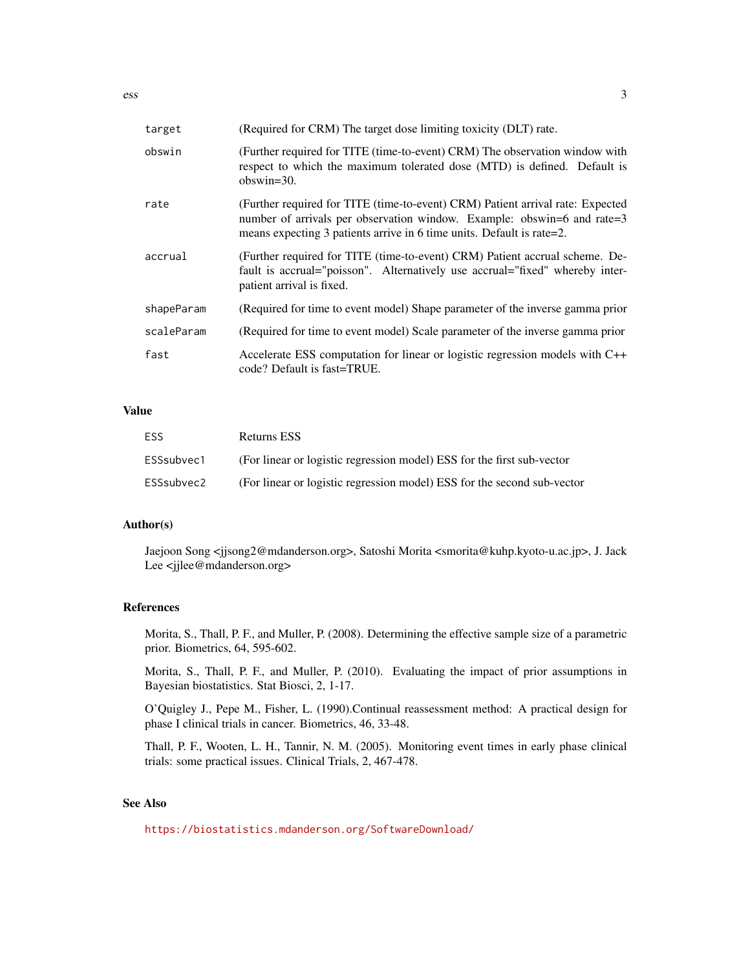| target     | (Required for CRM) The target dose limiting toxicity (DLT) rate.                                                                                                                                                                   |
|------------|------------------------------------------------------------------------------------------------------------------------------------------------------------------------------------------------------------------------------------|
| obswin     | (Further required for TITE (time-to-event) CRM) The observation window with<br>respect to which the maximum tolerated dose (MTD) is defined. Default is<br>$obswin=30$ .                                                           |
| rate       | (Further required for TITE (time-to-event) CRM) Patient arrival rate: Expected<br>number of arrivals per observation window. Example: obswin=6 and rate=3<br>means expecting 3 patients arrive in 6 time units. Default is rate=2. |
| accrual    | (Further required for TITE (time-to-event) CRM) Patient accrual scheme. De-<br>fault is accrual="poisson". Alternatively use accrual="fixed" whereby inter-<br>patient arrival is fixed.                                           |
| shapeParam | (Required for time to event model) Shape parameter of the inverse gamma prior                                                                                                                                                      |
| scaleParam | (Required for time to event model) Scale parameter of the inverse gamma prior                                                                                                                                                      |
| fast       | Accelerate ESS computation for linear or logistic regression models with C++<br>code? Default is fast=TRUE.                                                                                                                        |

#### Value

| ESS        | Returns ESS                                                             |
|------------|-------------------------------------------------------------------------|
| ESSsubvec1 | (For linear or logistic regression model) ESS for the first sub-vector  |
| ESSsubvec2 | (For linear or logistic regression model) ESS for the second sub-vector |

#### Author(s)

Jaejoon Song <jjsong2@mdanderson.org>, Satoshi Morita <smorita@kuhp.kyoto-u.ac.jp>, J. Jack Lee <jjlee@mdanderson.org>

#### References

Morita, S., Thall, P. F., and Muller, P. (2008). Determining the effective sample size of a parametric prior. Biometrics, 64, 595-602.

Morita, S., Thall, P. F., and Muller, P. (2010). Evaluating the impact of prior assumptions in Bayesian biostatistics. Stat Biosci, 2, 1-17.

O'Quigley J., Pepe M., Fisher, L. (1990).Continual reassessment method: A practical design for phase I clinical trials in cancer. Biometrics, 46, 33-48.

Thall, P. F., Wooten, L. H., Tannir, N. M. (2005). Monitoring event times in early phase clinical trials: some practical issues. Clinical Trials, 2, 467-478.

### See Also

<https://biostatistics.mdanderson.org/SoftwareDownload/>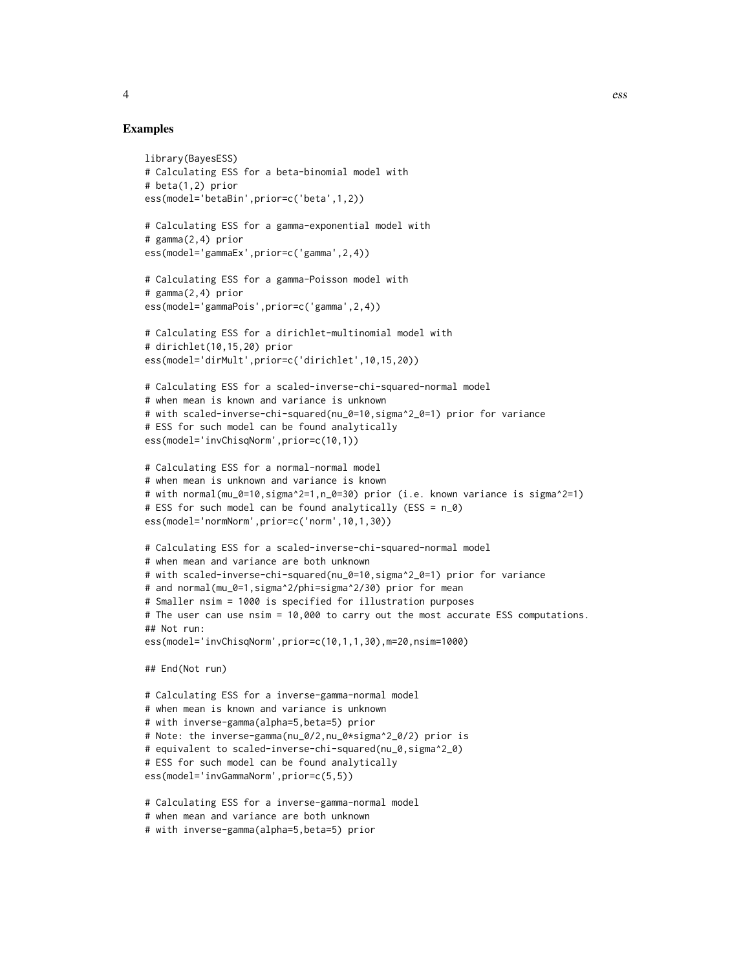#### Examples

```
library(BayesESS)
# Calculating ESS for a beta-binomial model with
# beta(1,2) prior
ess(model='betaBin',prior=c('beta',1,2))
# Calculating ESS for a gamma-exponential model with
# gamma(2,4) prior
ess(model='gammaEx',prior=c('gamma',2,4))
# Calculating ESS for a gamma-Poisson model with
# gamma(2,4) prior
ess(model='gammaPois',prior=c('gamma',2,4))
# Calculating ESS for a dirichlet-multinomial model with
# dirichlet(10,15,20) prior
ess(model='dirMult',prior=c('dirichlet',10,15,20))
# Calculating ESS for a scaled-inverse-chi-squared-normal model
# when mean is known and variance is unknown
# with scaled-inverse-chi-squared(nu_0=10,sigma^2_0=1) prior for variance
# ESS for such model can be found analytically
ess(model='invChisqNorm',prior=c(10,1))
# Calculating ESS for a normal-normal model
# when mean is unknown and variance is known
# with normal(mu_0=10,sigma^2=1,n_0=30) prior (i.e. known variance is sigma^2=1)
# ESS for such model can be found analytically (ESS = n_0)
ess(model='normNorm',prior=c('norm',10,1,30))
# Calculating ESS for a scaled-inverse-chi-squared-normal model
# when mean and variance are both unknown
# with scaled-inverse-chi-squared(nu_0=10,sigma^2_0=1) prior for variance
# and normal(mu_0=1,sigma^2/phi=sigma^2/30) prior for mean
# Smaller nsim = 1000 is specified for illustration purposes
# The user can use nsim = 10,000 to carry out the most accurate ESS computations.
## Not run:
ess(model='invChisqNorm',prior=c(10,1,1,30),m=20,nsim=1000)
## End(Not run)
# Calculating ESS for a inverse-gamma-normal model
# when mean is known and variance is unknown
# with inverse-gamma(alpha=5,beta=5) prior
# Note: the inverse-gamma(nu_0/2,nu_0*sigma^2_0/2) prior is
# equivalent to scaled-inverse-chi-squared(nu_0,sigma^2_0)
# ESS for such model can be found analytically
ess(model='invGammaNorm',prior=c(5,5))
# Calculating ESS for a inverse-gamma-normal model
# when mean and variance are both unknown
# with inverse-gamma(alpha=5,beta=5) prior
```
4 essential est de la contradiction de la contradiction de la contradiction de la contradiction de la contradiction de la contradiction de la contradiction de la contradiction de la contradiction de la contradiction de la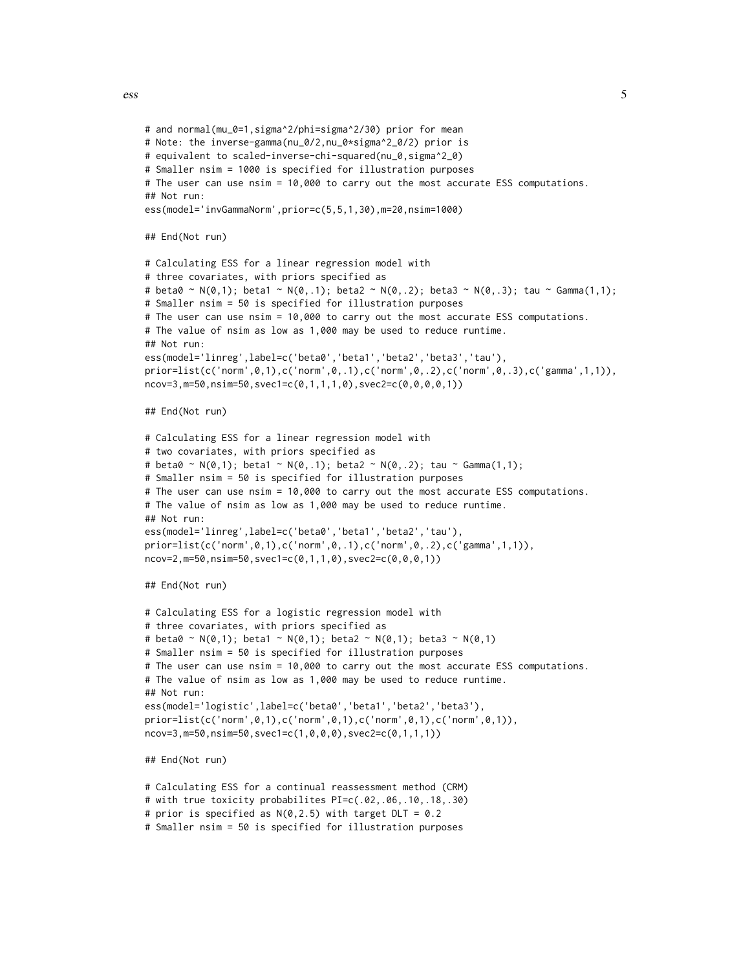ess 5

```
# and normal(mu_0=1,sigma^2/phi=sigma^2/30) prior for mean
# Note: the inverse-gamma(nu_0/2,nu_0*sigma^2_0/2) prior is
# equivalent to scaled-inverse-chi-squared(nu_0,sigma^2_0)
# Smaller nsim = 1000 is specified for illustration purposes
# The user can use nsim = 10,000 to carry out the most accurate ESS computations.
## Not run:
ess(model='invGammaNorm',prior=c(5,5,1,30),m=20,nsim=1000)
## End(Not run)
# Calculating ESS for a linear regression model with
# three covariates, with priors specified as
# beta0 ~ N(\emptyset,1); beta1 ~ N(\emptyset,1); beta2 ~ N(\emptyset,2); beta3 ~ N(\emptyset,3); tau ~ Gamma(1,1);
# Smaller nsim = 50 is specified for illustration purposes
# The user can use nsim = 10,000 to carry out the most accurate ESS computations.
# The value of nsim as low as 1,000 may be used to reduce runtime.
## Not run:
ess(model='linreg',label=c('beta0','beta1','beta2','beta3','tau'),
prior=list(c('norm',0,1),c('norm',0,.1),c('norm',0,.2),c('norm',0,.3),c('gamma',1,1)),
ncov=3,m=50,nsim=50,svec1=c(0,1,1,1,0),svec2=c(0,0,0,0,1))
## End(Not run)
# Calculating ESS for a linear regression model with
# two covariates, with priors specified as
# beta0 ~ N(0,1); beta1 ~ N(0,.1); beta2 ~ N(0,.2); tau ~ Gamma(1,1);
# Smaller nsim = 50 is specified for illustration purposes
# The user can use nsim = 10,000 to carry out the most accurate ESS computations.
# The value of nsim as low as 1,000 may be used to reduce runtime.
## Not run:
ess(model='linreg',label=c('beta0','beta1','beta2','tau'),
prior=list(c('norm',0,1),c('norm',0,.1),c('norm',0,.2),c('gamma',1,1)),
ncov=2,m=50,nsim=50,svec1=c(0,1,1,0),svec2=c(0,0,0,1))
## End(Not run)
# Calculating ESS for a logistic regression model with
# three covariates, with priors specified as
# beta0 ~ N(0,1); beta1 ~ N(0,1); beta2 ~ N(0,1); beta3 ~ N(0,1)# Smaller nsim = 50 is specified for illustration purposes
# The user can use nsim = 10,000 to carry out the most accurate ESS computations.
# The value of nsim as low as 1,000 may be used to reduce runtime.
## Not run:
ess(model='logistic',label=c('beta0','beta1','beta2','beta3'),
prior=list(c('norm',0,1),c('norm',0,1),c('norm',0,1),c('norm',0,1)),
ncov=3,m=50,nsim=50,svec1=c(1,0,0,0),svec2=c(0,1,1,1))
## End(Not run)
# Calculating ESS for a continual reassessment method (CRM)
# with true toxicity probabilites PI=c(.02,.06,.10,.18,.30)
# prior is specified as N(0,2.5) with target DLT = 0.2
# Smaller nsim = 50 is specified for illustration purposes
```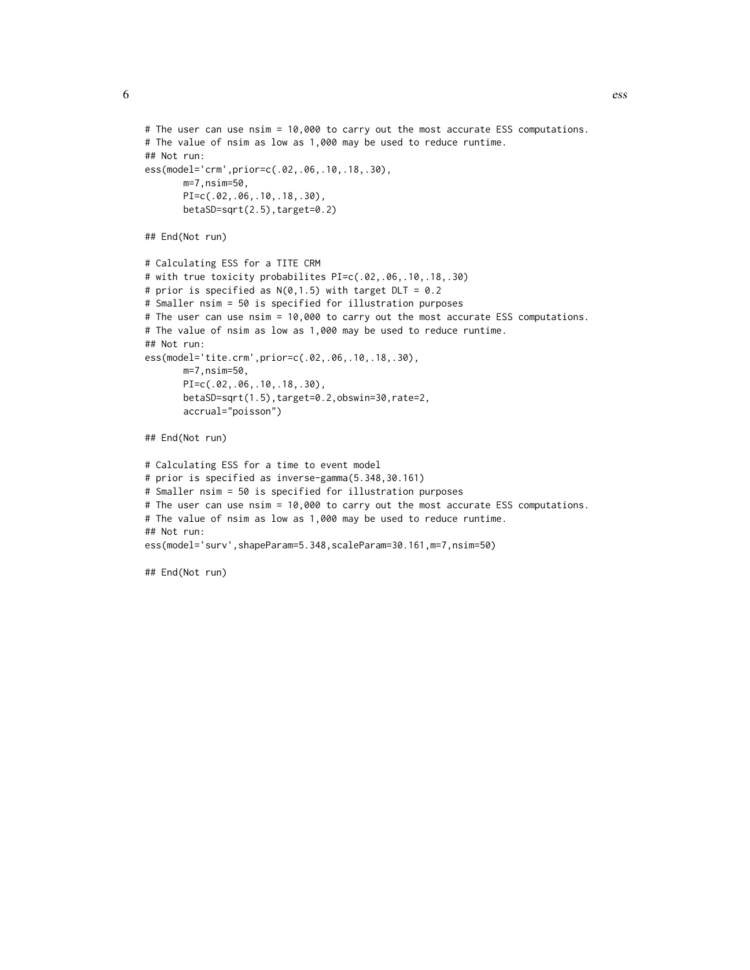```
# The user can use nsim = 10,000 to carry out the most accurate ESS computations.
# The value of nsim as low as 1,000 may be used to reduce runtime.
## Not run:
ess(model='crm',prior=c(.02,.06,.10,.18,.30),
       m=7,nsim=50,
       PI=c(.02,.06,.10,.18,.30),
       betaSD=sqrt(2.5),target=0.2)
## End(Not run)
# Calculating ESS for a TITE CRM
# with true toxicity probabilites PI=c(.02,.06,.10,.18,.30)
# prior is specified as N(0,1.5) with target DLT = 0.2
# Smaller nsim = 50 is specified for illustration purposes
# The user can use nsim = 10,000 to carry out the most accurate ESS computations.
# The value of nsim as low as 1,000 may be used to reduce runtime.
## Not run:
ess(model='tite.crm',prior=c(.02,.06,.10,.18,.30),
      m=7,nsim=50,
       PI=c(.02,.06,.10,.18,.30),
       betaSD=sqrt(1.5),target=0.2,obswin=30,rate=2,
       accrual="poisson")
## End(Not run)
# Calculating ESS for a time to event model
# prior is specified as inverse-gamma(5.348,30.161)
# Smaller nsim = 50 is specified for illustration purposes
# The user can use nsim = 10,000 to carry out the most accurate ESS computations.
# The value of nsim as low as 1,000 may be used to reduce runtime.
## Not run:
ess(model='surv',shapeParam=5.348,scaleParam=30.161,m=7,nsim=50)
## End(Not run)
```